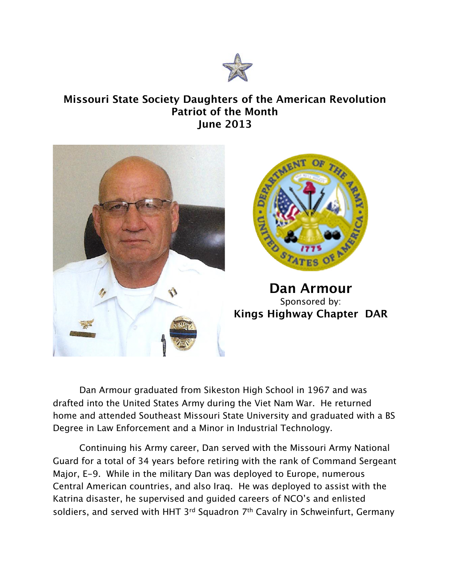

## **Missouri State Society Daughters of the American Revolution Patriot of the Month June 2013**



Dan Armour graduated from Sikeston High School in 1967 and was drafted into the United States Army during the Viet Nam War. He returned home and attended Southeast Missouri State University and graduated with a BS Degree in Law Enforcement and a Minor in Industrial Technology.

Continuing his Army career, Dan served with the Missouri Army National Guard for a total of 34 years before retiring with the rank of Command Sergeant Major, E-9. While in the military Dan was deployed to Europe, numerous Central American countries, and also Iraq. He was deployed to assist with the Katrina disaster, he supervised and guided careers of NCO's and enlisted soldiers, and served with HHT 3<sup>rd</sup> Squadron 7<sup>th</sup> Cavalry in Schweinfurt, Germany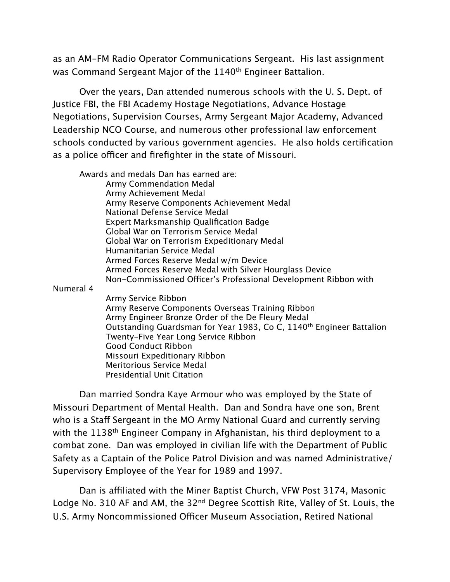as an AM-FM Radio Operator Communications Sergeant. His last assignment was Command Sergeant Major of the 1140<sup>th</sup> Engineer Battalion.

Over the years, Dan attended numerous schools with the U. S. Dept. of Justice FBI, the FBI Academy Hostage Negotiations, Advance Hostage Negotiations, Supervision Courses, Army Sergeant Major Academy, Advanced Leadership NCO Course, and numerous other professional law enforcement schools conducted by various government agencies. He also holds certification as a police officer and firefighter in the state of Missouri.

Awards and medals Dan has earned are:

Army Commendation Medal Army Achievement Medal Army Reserve Components Achievement Medal National Defense Service Medal Expert Marksmanship Qualification Badge Global War on Terrorism Service Medal Global War on Terrorism Expeditionary Medal Humanitarian Service Medal Armed Forces Reserve Medal w/m Device Armed Forces Reserve Medal with Silver Hourglass Device Non-Commissioned Officer's Professional Development Ribbon with

Numeral 4

Army Service Ribbon Army Reserve Components Overseas Training Ribbon Army Engineer Bronze Order of the De Fleury Medal Outstanding Guardsman for Year 1983, Co C, 1140th Engineer Battalion Twenty-Five Year Long Service Ribbon Good Conduct Ribbon Missouri Expeditionary Ribbon Meritorious Service Medal Presidential Unit Citation

Dan married Sondra Kaye Armour who was employed by the State of Missouri Department of Mental Health. Dan and Sondra have one son, Brent who is a Staff Sergeant in the MO Army National Guard and currently serving with the 1138<sup>th</sup> Engineer Company in Afghanistan, his third deployment to a combat zone. Dan was employed in civilian life with the Department of Public Safety as a Captain of the Police Patrol Division and was named Administrative/ Supervisory Employee of the Year for 1989 and 1997.

Dan is affiliated with the Miner Baptist Church, VFW Post 3174, Masonic Lodge No. 310 AF and AM, the 32<sup>nd</sup> Degree Scottish Rite, Valley of St. Louis, the U.S. Army Noncommissioned Officer Museum Association, Retired National